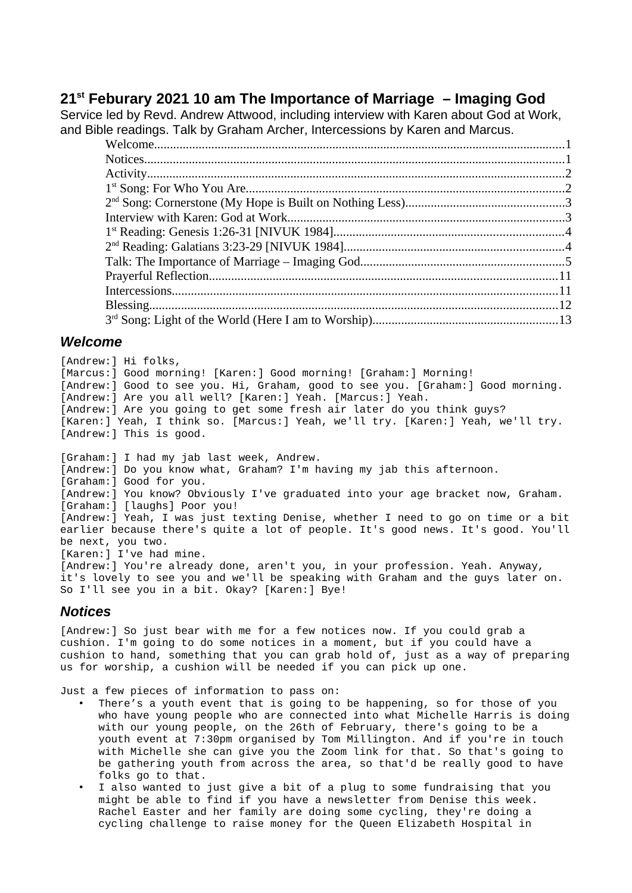## **21st Feburary 2021 10 am The Importance of Marriage – Imaging God**

Service led by Revd. Andrew Attwood, including interview with Karen about God at Work, and Bible readings. Talk by Graham Archer, Intercessions by Karen and Marcus.

#### <span id="page-0-1"></span>*Welcome*

[Andrew:] Hi folks, [Marcus:] Good morning! [Karen:] Good morning! [Graham:] Morning! [Andrew:] Good to see you. Hi, Graham, good to see you. [Graham:] Good morning. [Andrew:] Are you all well? [Karen:] Yeah. [Marcus:] Yeah. [Andrew:] Are you going to get some fresh air later do you think guys? [Karen:] Yeah, I think so. [Marcus:] Yeah, we'll try. [Karen:] Yeah, we'll try. [Andrew:] This is good. [Graham:] I had my jab last week, Andrew. [Andrew:] Do you know what, Graham? I'm having my jab this afternoon. [Graham:] Good for you. [Andrew:] You know? Obviously I've graduated into your age bracket now, Graham. [Graham:] [laughs] Poor you! [Andrew:] Yeah, I was just texting Denise, whether I need to go on time or a bit

earlier because there's quite a lot of people. It's good news. It's good. You'll be next, you two. [Karen:] I've had mine.

[Andrew:] You're already done, aren't you, in your profession. Yeah. Anyway, it's lovely to see you and we'll be speaking with Graham and the guys later on. So I'll see you in a bit. Okay? [Karen:] Bye!

## <span id="page-0-0"></span>*Notices*

[Andrew:] So just bear with me for a few notices now. If you could grab a cushion. I'm going to do some notices in a moment, but if you could have a cushion to hand, something that you can grab hold of, just as a way of preparing us for worship, a cushion will be needed if you can pick up one.

Just a few pieces of information to pass on:

- There's a youth event that is going to be happening, so for those of you who have young people who are connected into what Michelle Harris is doing with our young people, on the 26th of February, there's going to be a youth event at 7:30pm organised by Tom Millington. And if you're in touch with Michelle she can give you the Zoom link for that. So that's going to be gathering youth from across the area, so that'd be really good to have folks go to that.
- I also wanted to just give a bit of a plug to some fundraising that you might be able to find if you have a newsletter from Denise this week. Rachel Easter and her family are doing some cycling, they're doing a cycling challenge to raise money for the Queen Elizabeth Hospital in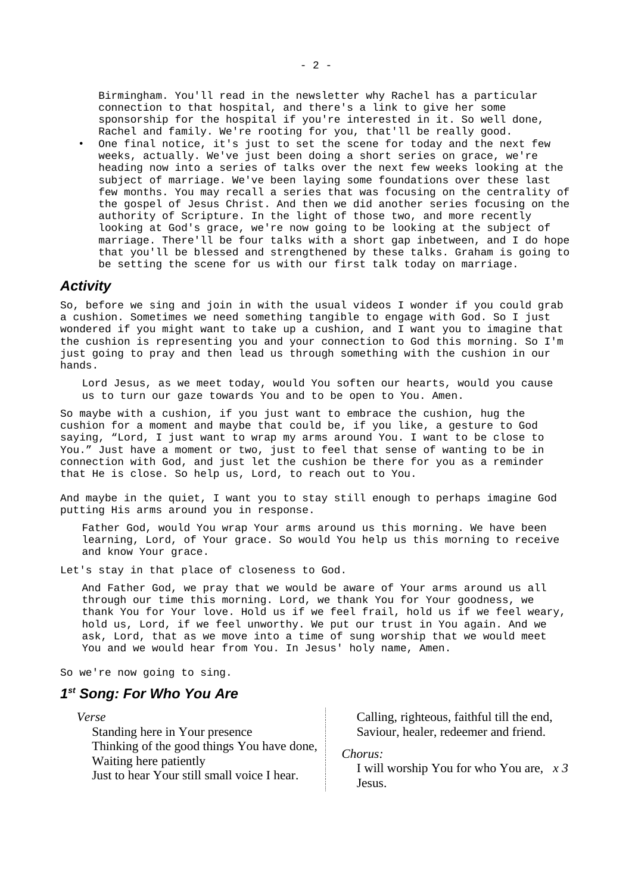Birmingham. You'll read in the newsletter why Rachel has a particular connection to that hospital, and there's a link to give her some sponsorship for the hospital if you're interested in it. So well done, Rachel and family. We're rooting for you, that'll be really good.

One final notice, it's just to set the scene for today and the next few weeks, actually. We've just been doing a short series on grace, we're heading now into a series of talks over the next few weeks looking at the subject of marriage. We've been laying some foundations over these last few months. You may recall a series that was focusing on the centrality of the gospel of Jesus Christ. And then we did another series focusing on the authority of Scripture. In the light of those two, and more recently looking at God's grace, we're now going to be looking at the subject of marriage. There'll be four talks with a short gap inbetween, and I do hope that you'll be blessed and strengthened by these talks. Graham is going to be setting the scene for us with our first talk today on marriage.

#### <span id="page-1-1"></span>*Activity*

So, before we sing and join in with the usual videos I wonder if you could grab a cushion. Sometimes we need something tangible to engage with God. So I just wondered if you might want to take up a cushion, and I want you to imagine that the cushion is representing you and your connection to God this morning. So I'm just going to pray and then lead us through something with the cushion in our hands.

Lord Jesus, as we meet today, would You soften our hearts, would you cause us to turn our gaze towards You and to be open to You. Amen.

So maybe with a cushion, if you just want to embrace the cushion, hug the cushion for a moment and maybe that could be, if you like, a gesture to God saying, "Lord, I just want to wrap my arms around You. I want to be close to You." Just have a moment or two, just to feel that sense of wanting to be in connection with God, and just let the cushion be there for you as a reminder that He is close. So help us, Lord, to reach out to You.

And maybe in the quiet, I want you to stay still enough to perhaps imagine God putting His arms around you in response.

Father God, would You wrap Your arms around us this morning. We have been learning, Lord, of Your grace. So would You help us this morning to receive and know Your grace.

Let's stay in that place of closeness to God.

And Father God, we pray that we would be aware of Your arms around us all through our time this morning. Lord, we thank You for Your goodness, we thank You for Your love. Hold us if we feel frail, hold us if we feel weary, hold us, Lord, if we feel unworthy. We put our trust in You again. And we ask, Lord, that as we move into a time of sung worship that we would meet You and we would hear from You. In Jesus' holy name, Amen.

So we're now going to sing.

## <span id="page-1-0"></span>*1 st Song: For Who You Are*

| Verse                                                                                                               | Calling, righteous, faithful till the end,                     |
|---------------------------------------------------------------------------------------------------------------------|----------------------------------------------------------------|
| Standing here in Your presence                                                                                      | Saviour, healer, redeemer and friend.                          |
| Thinking of the good things You have done,<br>Waiting here patiently<br>Just to hear Your still small voice I hear. | Chorus:<br>I will worship You for who You are, $x$ 3<br>Jesus. |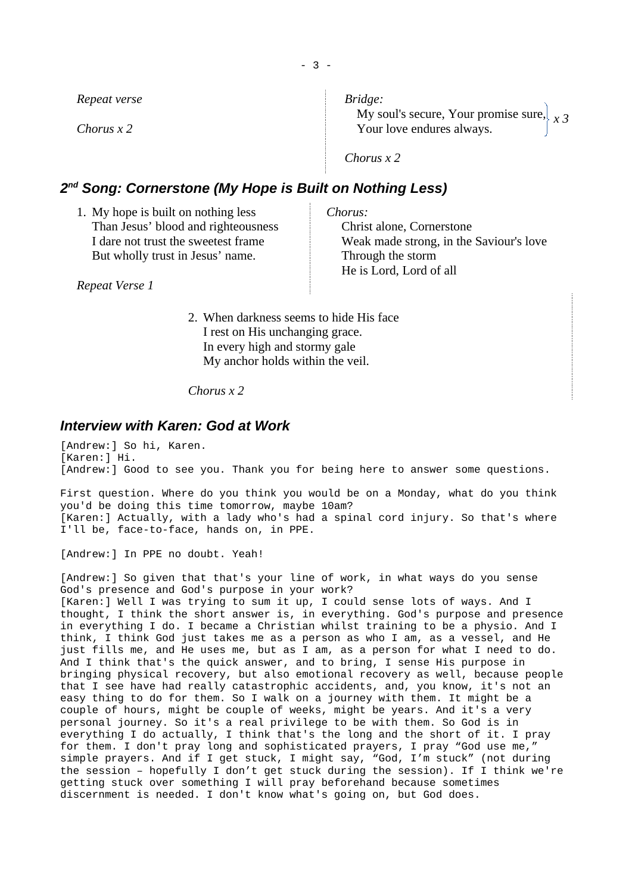| Repeat verse | Bridge:<br>My soul's secure, Your promise sure, $\chi$ 3 |
|--------------|----------------------------------------------------------|
| Chorus $x$ 2 | Your love endures always.                                |
|              | Chorus $x$ 2                                             |

## <span id="page-2-1"></span>*2 nd Song: Cornerstone (My Hope is Built on Nothing Less)*

| 1. My hope is built on nothing less | Chorus:                                 |
|-------------------------------------|-----------------------------------------|
| Than Jesus' blood and righteousness | Christ alone, Cornerstone               |
| I dare not trust the sweetest frame | Weak made strong, in the Saviour's love |
| But wholly trust in Jesus' name.    | Through the storm                       |
|                                     | He is Lord, Lord of all                 |
| Repeat Verse 1                      |                                         |

2. When darkness seems to hide His face I rest on His unchanging grace. In every high and stormy gale My anchor holds within the veil.

*Chorus x 2*

#### <span id="page-2-0"></span>*Interview with Karen: God at Work*

[Andrew:] So hi, Karen. [Karen:] Hi. [Andrew:] Good to see you. Thank you for being here to answer some questions.

First question. Where do you think you would be on a Monday, what do you think you'd be doing this time tomorrow, maybe 10am? [Karen:] Actually, with a lady who's had a spinal cord injury. So that's where I'll be, face-to-face, hands on, in PPE.

[Andrew:] In PPE no doubt. Yeah!

[Andrew:] So given that that's your line of work, in what ways do you sense God's presence and God's purpose in your work? [Karen:] Well I was trying to sum it up, I could sense lots of ways. And I thought, I think the short answer is, in everything. God's purpose and presence in everything I do. I became a Christian whilst training to be a physio. And I think, I think God just takes me as a person as who I am, as a vessel, and He just fills me, and He uses me, but as I am, as a person for what I need to do. And I think that's the quick answer, and to bring, I sense His purpose in bringing physical recovery, but also emotional recovery as well, because people that I see have had really catastrophic accidents, and, you know, it's not an easy thing to do for them. So I walk on a journey with them. It might be a couple of hours, might be couple of weeks, might be years. And it's a very personal journey. So it's a real privilege to be with them. So God is in everything I do actually, I think that's the long and the short of it. I pray for them. I don't pray long and sophisticated prayers, I pray "God use me," simple prayers. And if I get stuck, I might say, "God, I'm stuck" (not during the session – hopefully I don't get stuck during the session). If I think we're getting stuck over something I will pray beforehand because sometimes discernment is needed. I don't know what's going on, but God does.

- 3 -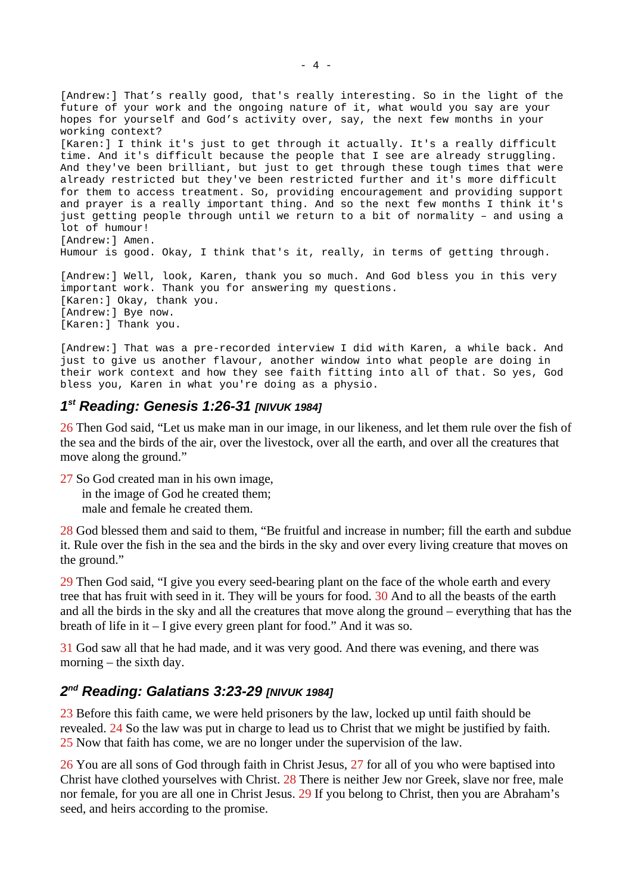[Andrew:] That's really good, that's really interesting. So in the light of the future of your work and the ongoing nature of it, what would you say are your hopes for yourself and God's activity over, say, the next few months in your working context? [Karen:] I think it's just to get through it actually. It's a really difficult time. And it's difficult because the people that I see are already struggling. And they've been brilliant, but just to get through these tough times that were already restricted but they've been restricted further and it's more difficult for them to access treatment. So, providing encouragement and providing support and prayer is a really important thing. And so the next few months I think it's just getting people through until we return to a bit of normality – and using a lot of humour! [Andrew:] Amen. Humour is good. Okay, I think that's it, really, in terms of getting through. [Andrew:] Well, look, Karen, thank you so much. And God bless you in this very important work. Thank you for answering my questions. [Karen:] Okay, thank you. [Andrew:] Bye now. [Karen:] Thank you.

[Andrew:] That was a pre-recorded interview I did with Karen, a while back. And just to give us another flavour, another window into what people are doing in their work context and how they see faith fitting into all of that. So yes, God bless you, Karen in what you're doing as a physio.

## <span id="page-3-1"></span>*1 st Reading: Genesis 1:26-31 [NIVUK 1984]*

26 Then God said, "Let us make man in our image, in our likeness, and let them rule over the fish of the sea and the birds of the air, over the livestock, over all the earth, and over all the creatures that move along the ground."

27 So God created man in his own image, in the image of God he created them; male and female he created them.

28 God blessed them and said to them, "Be fruitful and increase in number; fill the earth and subdue it. Rule over the fish in the sea and the birds in the sky and over every living creature that moves on the ground."

29 Then God said, "I give you every seed-bearing plant on the face of the whole earth and every tree that has fruit with seed in it. They will be yours for food. 30 And to all the beasts of the earth and all the birds in the sky and all the creatures that move along the ground – everything that has the breath of life in it – I give every green plant for food." And it was so.

31 God saw all that he had made, and it was very good. And there was evening, and there was morning – the sixth day.

## <span id="page-3-0"></span>*2 nd Reading: Galatians 3:23-29 [NIVUK 1984]*

23 Before this faith came, we were held prisoners by the law, locked up until faith should be revealed. 24 So the law was put in charge to lead us to Christ that we might be justified by faith. 25 Now that faith has come, we are no longer under the supervision of the law.

26 You are all sons of God through faith in Christ Jesus, 27 for all of you who were baptised into Christ have clothed yourselves with Christ. 28 There is neither Jew nor Greek, slave nor free, male nor female, for you are all one in Christ Jesus. 29 If you belong to Christ, then you are Abraham's seed, and heirs according to the promise.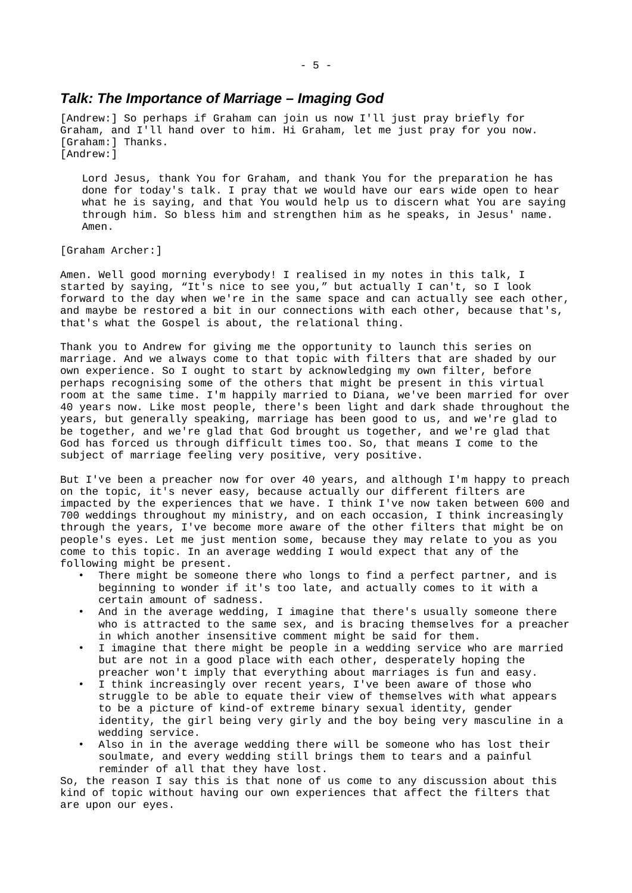#### <span id="page-4-0"></span>*Talk: The Importance of Marriage – Imaging God*

[Andrew:] So perhaps if Graham can join us now I'll just pray briefly for Graham, and I'll hand over to him. Hi Graham, let me just pray for you now. [Graham:] Thanks. [Andrew:]

Lord Jesus, thank You for Graham, and thank You for the preparation he has done for today's talk. I pray that we would have our ears wide open to hear what he is saying, and that You would help us to discern what You are saying through him. So bless him and strengthen him as he speaks, in Jesus' name. Amen.

[Graham Archer:]

Amen. Well good morning everybody! I realised in my notes in this talk, I started by saying, "It's nice to see you," but actually I can't, so I look forward to the day when we're in the same space and can actually see each other, and maybe be restored a bit in our connections with each other, because that's, that's what the Gospel is about, the relational thing.

Thank you to Andrew for giving me the opportunity to launch this series on marriage. And we always come to that topic with filters that are shaded by our own experience. So I ought to start by acknowledging my own filter, before perhaps recognising some of the others that might be present in this virtual room at the same time. I'm happily married to Diana, we've been married for over 40 years now. Like most people, there's been light and dark shade throughout the years, but generally speaking, marriage has been good to us, and we're glad to be together, and we're glad that God brought us together, and we're glad that God has forced us through difficult times too. So, that means I come to the subject of marriage feeling very positive, very positive.

But I've been a preacher now for over 40 years, and although I'm happy to preach on the topic, it's never easy, because actually our different filters are impacted by the experiences that we have. I think I've now taken between 600 and 700 weddings throughout my ministry, and on each occasion, I think increasingly through the years, I've become more aware of the other filters that might be on people's eyes. Let me just mention some, because they may relate to you as you come to this topic. In an average wedding I would expect that any of the following might be present.

- There might be someone there who longs to find a perfect partner, and is beginning to wonder if it's too late, and actually comes to it with a certain amount of sadness.
- And in the average wedding, I imagine that there's usually someone there who is attracted to the same sex, and is bracing themselves for a preacher in which another insensitive comment might be said for them.
- I imagine that there might be people in a wedding service who are married but are not in a good place with each other, desperately hoping the preacher won't imply that everything about marriages is fun and easy.
- I think increasingly over recent years, I've been aware of those who struggle to be able to equate their view of themselves with what appears to be a picture of kind-of extreme binary sexual identity, gender identity, the girl being very girly and the boy being very masculine in a wedding service.
- Also in in the average wedding there will be someone who has lost their soulmate, and every wedding still brings them to tears and a painful reminder of all that they have lost.

So, the reason I say this is that none of us come to any discussion about this kind of topic without having our own experiences that affect the filters that are upon our eyes.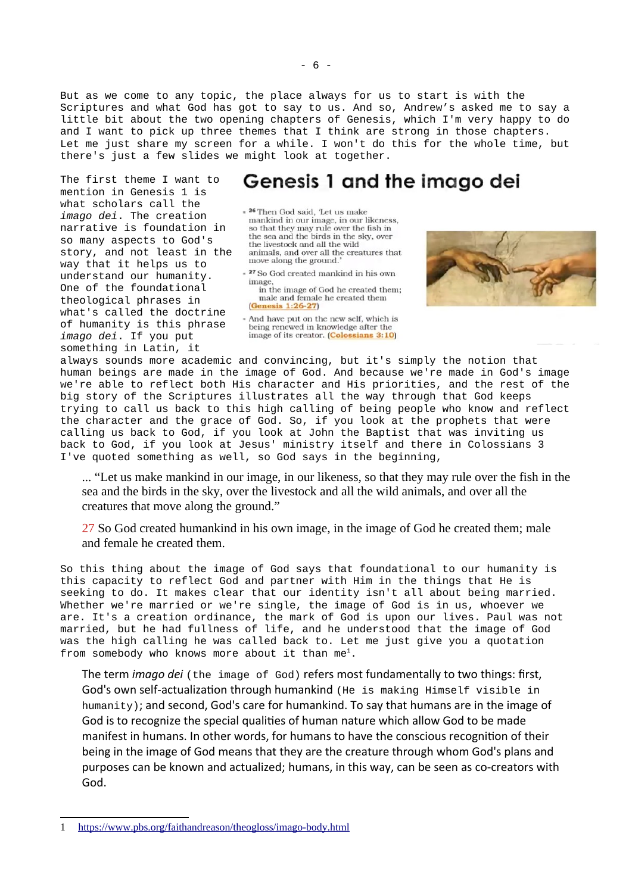But as we come to any topic, the place always for us to start is with the Scriptures and what God has got to say to us. And so, Andrew's asked me to say a little bit about the two opening chapters of Genesis, which I'm very happy to do and I want to pick up three themes that I think are strong in those chapters. Let me just share my screen for a while. I won't do this for the whole time, but there's just a few slides we might look at together.

The first theme I want to mention in Genesis 1 is what scholars call the *imago dei*. The creation narrative is foundation in so many aspects to God's story, and not least in the way that it helps us to understand our humanity. One of the foundational theological phrases in what's called the doctrine of humanity is this phrase *imago dei*. If you put something in Latin, it

# Genesis 1 and the imago dei

- <sup>26</sup> Then God said, 'Let us make mankind in our image, in our likeness, so that they may rule over the fish in<br>the sea and the birds in the sky, over the livestock and all the wild animals, and over all the creatures that move along the ground.

 $\hspace{0.1cm}$   $\hspace{0.1cm}$   $\hspace{0.1cm}$  27 So God created mankind in his own

image,<br>in the image of God he created them; male and female he created them (Genesis 1:26-27)

- And have put on the new self, which is being renewed in knowledge after the image of its creator. (Colossians 3:10)



always sounds more academic and convincing, but it's simply the notion that human beings are made in the image of God. And because we're made in God's image we're able to reflect both His character and His priorities, and the rest of the big story of the Scriptures illustrates all the way through that God keeps trying to call us back to this high calling of being people who know and reflect the character and the grace of God. So, if you look at the prophets that were calling us back to God, if you look at John the Baptist that was inviting us back to God, if you look at Jesus' ministry itself and there in Colossians 3 I've quoted something as well, so God says in the beginning,

... "Let us make mankind in our image, in our likeness, so that they may rule over the fish in the sea and the birds in the sky, over the livestock and all the wild animals, and over all the creatures that move along the ground."

27 So God created humankind in his own image, in the image of God he created them; male and female he created them.

So this thing about the image of God says that foundational to our humanity is this capacity to reflect God and partner with Him in the things that He is seeking to do. It makes clear that our identity isn't all about being married. Whether we're married or we're single, the image of God is in us, whoever we are. It's a creation ordinance, the mark of God is upon our lives. Paul was not married, but he had fullness of life, and he understood that the image of God was the high calling he was called back to. Let me just give you a quotation from somebody who knows more about it than  $me<sup>1</sup>$  $me<sup>1</sup>$  $me<sup>1</sup>$ .

The term *imago dei* (the image of God) refers most fundamentally to two things: first, God's own self-actualization through humankind (He is making Himself visible in humanity); and second, God's care for humankind. To say that humans are in the image of God is to recognize the special qualities of human nature which allow God to be made manifest in humans. In other words, for humans to have the conscious recognition of their being in the image of God means that they are the creature through whom God's plans and purposes can be known and actualized; humans, in this way, can be seen as co-creators with God.

<span id="page-5-0"></span><sup>1</sup><https://www.pbs.org/faithandreason/theogloss/imago-body.html>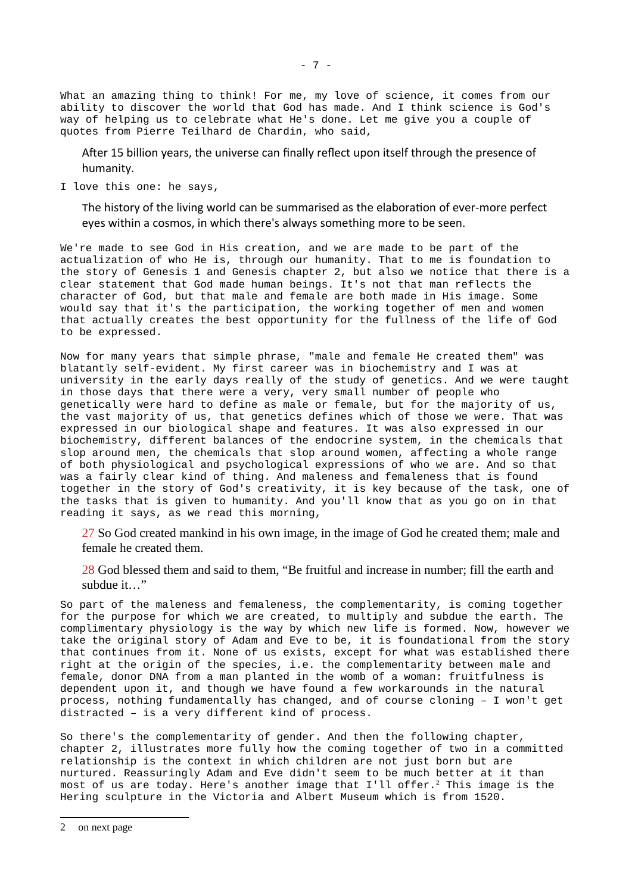What an amazing thing to think! For me, my love of science, it comes from our ability to discover the world that God has made. And I think science is God's way of helping us to celebrate what He's done. Let me give you a couple of quotes from Pierre Teilhard de Chardin, who said,

After 15 billion years, the universe can finally reflect upon itself through the presence of humanity.

I love this one: he says,

The history of the living world can be summarised as the elaboration of ever-more perfect eyes within a cosmos, in which there's always something more to be seen.

We're made to see God in His creation, and we are made to be part of the actualization of who He is, through our humanity. That to me is foundation to the story of Genesis 1 and Genesis chapter 2, but also we notice that there is a clear statement that God made human beings. It's not that man reflects the character of God, but that male and female are both made in His image. Some would say that it's the participation, the working together of men and women that actually creates the best opportunity for the fullness of the life of God to be expressed.

Now for many years that simple phrase, "male and female He created them" was blatantly self-evident. My first career was in biochemistry and I was at university in the early days really of the study of genetics. And we were taught in those days that there were a very, very small number of people who genetically were hard to define as male or female, but for the majority of us, the vast majority of us, that genetics defines which of those we were. That was expressed in our biological shape and features. It was also expressed in our biochemistry, different balances of the endocrine system, in the chemicals that slop around men, the chemicals that slop around women, affecting a whole range of both physiological and psychological expressions of who we are. And so that was a fairly clear kind of thing. And maleness and femaleness that is found together in the story of God's creativity, it is key because of the task, one of the tasks that is given to humanity. And you'll know that as you go on in that reading it says, as we read this morning,

27 So God created mankind in his own image, in the image of God he created them; male and female he created them.

28 God blessed them and said to them, "Be fruitful and increase in number; fill the earth and subdue it…"

So part of the maleness and femaleness, the complementarity, is coming together for the purpose for which we are created, to multiply and subdue the earth. The complimentary physiology is the way by which new life is formed. Now, however we take the original story of Adam and Eve to be, it is foundational from the story that continues from it. None of us exists, except for what was established there right at the origin of the species, i.e. the complementarity between male and female, donor DNA from a man planted in the womb of a woman: fruitfulness is dependent upon it, and though we have found a few workarounds in the natural process, nothing fundamentally has changed, and of course cloning – I won't get distracted – is a very different kind of process.

So there's the complementarity of gender. And then the following chapter, chapter 2, illustrates more fully how the coming together of two in a committed relationship is the context in which children are not just born but are nurtured. Reassuringly Adam and Eve didn't seem to be much better at it than most of us are today. Here's another image that I'll offer. [2](#page-6-0) This image is the Hering sculpture in the Victoria and Albert Museum which is from 1520.

<span id="page-6-0"></span><sup>2</sup> on next page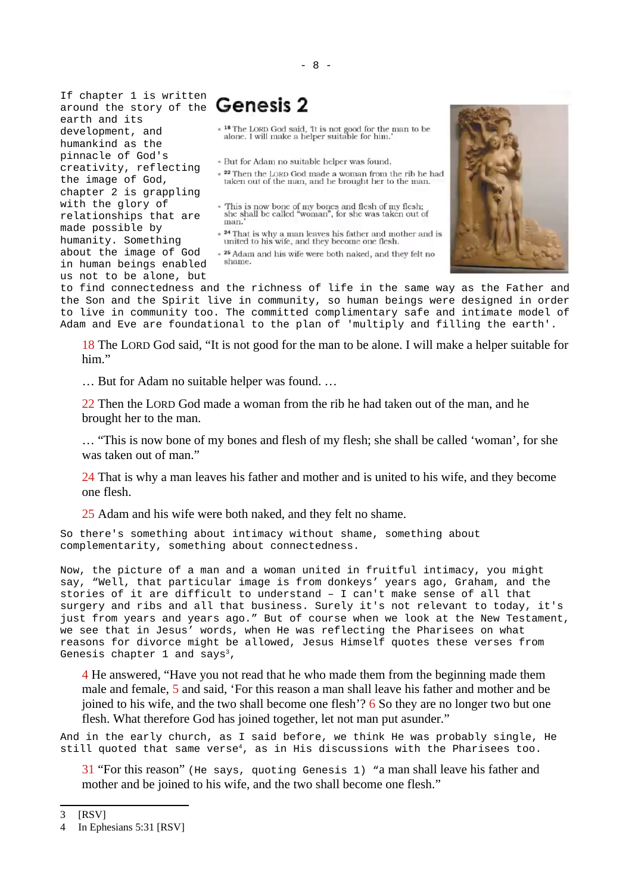If chapter 1 is written around the story of the earth and its development, and humankind as the pinnacle of God's creativity, reflecting the image of God, chapter 2 is grappling with the glory of relationships that are made possible by humanity. Something about the image of God in human beings enabled

- 
- . But for Adam no suitable helper was found.
- $\ast$   $^{22}$  Then the LORD God made a woman from the rib he had taken out of the man, and he brought her to the man.
- This is now bone of my bones and flesh of my flesh;<br>she shall be called "woman", for she was taken out of man.
- $\bullet$   $^{24}$  That is why a man leaves his father and mother and is united to his wife, and they become one flesh.
- . 25 Adam and his wife were both naked, and they felt no shame

us not to be alone, but to find connectedness and the richness of life in the same way as the Father and the Son and the Spirit live in community, so human beings were designed in order to live in community too. The committed complimentary safe and intimate model of Adam and Eve are foundational to the plan of 'multiply and filling the earth'.

18 The LORD God said, "It is not good for the man to be alone. I will make a helper suitable for him."

… But for Adam no suitable helper was found. …

22 Then the LORD God made a woman from the rib he had taken out of the man, and he brought her to the man.

… "This is now bone of my bones and flesh of my flesh; she shall be called 'woman', for she was taken out of man."

24 That is why a man leaves his father and mother and is united to his wife, and they become one flesh.

25 Adam and his wife were both naked, and they felt no shame.

So there's something about intimacy without shame, something about complementarity, something about connectedness.

Now, the picture of a man and a woman united in fruitful intimacy, you might say, "Well, that particular image is from donkeys' years ago, Graham, and the stories of it are difficult to understand – I can't make sense of all that surgery and ribs and all that business. Surely it's not relevant to today, it's just from years and years ago." But of course when we look at the New Testament, we see that in Jesus' words, when He was reflecting the Pharisees on what reasons for divorce might be allowed, Jesus Himself quotes these verses from Genesis chapter 1 and says<sup>[3](#page-7-0)</sup>,

4 He answered, "Have you not read that he who made them from the beginning made them male and female, 5 and said, 'For this reason a man shall leave his father and mother and be joined to his wife, and the two shall become one flesh'? 6 So they are no longer two but one flesh. What therefore God has joined together, let not man put asunder."

And in the early church, as I said before, we think He was probably single, He still quoted that same verse<sup>[4](#page-7-1)</sup>, as in His discussions with the Pharisees too.

31 "For this reason" (He says, quoting Genesis 1) "a man shall leave his father and mother and be joined to his wife, and the two shall become one flesh."

<span id="page-7-0"></span>3 [RSV]

<span id="page-7-1"></span><sup>4</sup> In Ephesians 5:31 [RSV]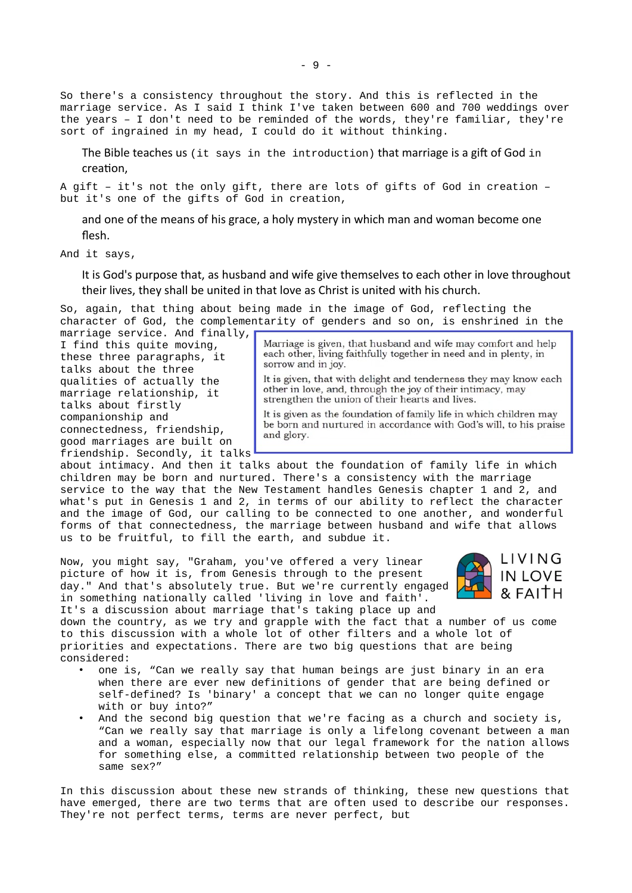So there's a consistency throughout the story. And this is reflected in the marriage service. As I said I think I've taken between 600 and 700 weddings over the years – I don't need to be reminded of the words, they're familiar, they're sort of ingrained in my head, I could do it without thinking.

The Bible teaches us (it says in the introduction) that marriage is a gift of God in creation,

A gift – it's not the only gift, there are lots of gifts of God in creation – but it's one of the gifts of God in creation,

and one of the means of his grace, a holy mystery in which man and woman become one flesh.

And it says,

It is God's purpose that, as husband and wife give themselves to each other in love throughout their lives, they shall be united in that love as Christ is united with his church.

So, again, that thing about being made in the image of God, reflecting the character of God, the complementarity of genders and so on, is enshrined in the

marriage service. And finally, I find this quite moving, these three paragraphs, it talks about the three qualities of actually the marriage relationship, it talks about firstly companionship and connectedness, friendship, good marriages are built on friendship. Secondly, it talks

Marriage is given, that husband and wife may comfort and help each other, living faithfully together in need and in plenty, in sorrow and in joy.

It is given, that with delight and tenderness they may know each other in love, and, through the joy of their intimacy, may strengthen the union of their hearts and lives.

It is given as the foundation of family life in which children may be born and nurtured in accordance with God's will, to his praise and glory.

about intimacy. And then it talks about the foundation of family life in which children may be born and nurtured. There's a consistency with the marriage service to the way that the New Testament handles Genesis chapter 1 and 2, and what's put in Genesis 1 and 2, in terms of our ability to reflect the character and the image of God, our calling to be connected to one another, and wonderful forms of that connectedness, the marriage between husband and wife that allows us to be fruitful, to fill the earth, and subdue it.

Now, you might say, "Graham, you've offered a very linear picture of how it is, from Genesis through to the present day." And that's absolutely true. But we're currently engaged in something nationally called 'living in love and faith'. It's a discussion about marriage that's taking place up and



down the country, as we try and grapple with the fact that a number of us come to this discussion with a whole lot of other filters and a whole lot of priorities and expectations. There are two big questions that are being considered:

- one is, "Can we really say that human beings are just binary in an era when there are ever new definitions of gender that are being defined or self-defined? Is 'binary' a concept that we can no longer quite engage with or buy into?"
- And the second big question that we're facing as a church and society is, "Can we really say that marriage is only a lifelong covenant between a man and a woman, especially now that our legal framework for the nation allows for something else, a committed relationship between two people of the same sex?"

In this discussion about these new strands of thinking, these new questions that have emerged, there are two terms that are often used to describe our responses. They're not perfect terms, terms are never perfect, but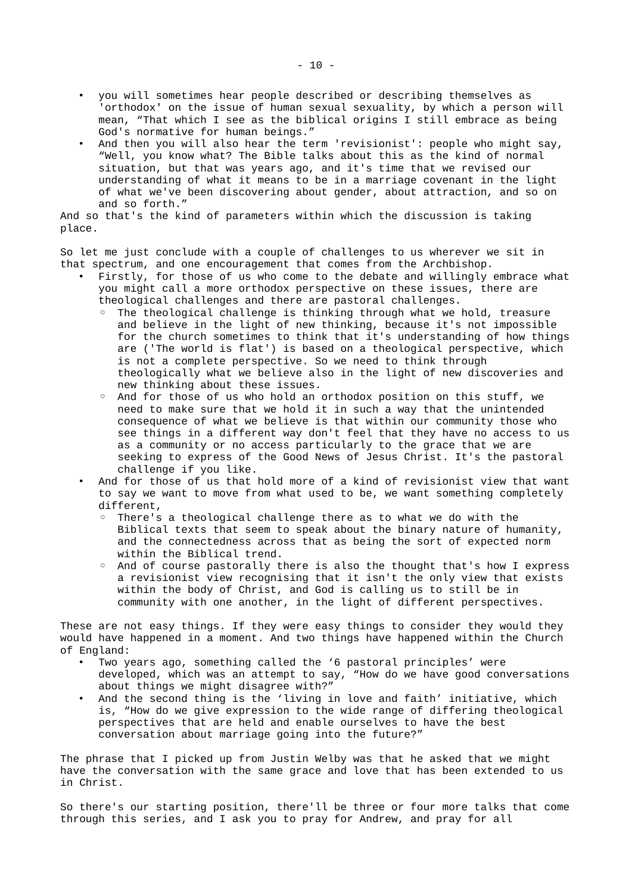- you will sometimes hear people described or describing themselves as 'orthodox' on the issue of human sexual sexuality, by which a person will mean, "That which I see as the biblical origins I still embrace as being God's normative for human beings."
- And then you will also hear the term 'revisionist': people who might say, "Well, you know what? The Bible talks about this as the kind of normal situation, but that was years ago, and it's time that we revised our understanding of what it means to be in a marriage covenant in the light of what we've been discovering about gender, about attraction, and so on and so forth."

And so that's the kind of parameters within which the discussion is taking place.

So let me just conclude with a couple of challenges to us wherever we sit in that spectrum, and one encouragement that comes from the Archbishop.

- Firstly, for those of us who come to the debate and willingly embrace what you might call a more orthodox perspective on these issues, there are theological challenges and there are pastoral challenges.
	- The theological challenge is thinking through what we hold, treasure and believe in the light of new thinking, because it's not impossible for the church sometimes to think that it's understanding of how things are ('The world is flat') is based on a theological perspective, which is not a complete perspective. So we need to think through theologically what we believe also in the light of new discoveries and new thinking about these issues.
	- And for those of us who hold an orthodox position on this stuff, we need to make sure that we hold it in such a way that the unintended consequence of what we believe is that within our community those who see things in a different way don't feel that they have no access to us as a community or no access particularly to the grace that we are seeking to express of the Good News of Jesus Christ. It's the pastoral challenge if you like.
- And for those of us that hold more of a kind of revisionist view that want to say we want to move from what used to be, we want something completely different,
	- There's a theological challenge there as to what we do with the Biblical texts that seem to speak about the binary nature of humanity, and the connectedness across that as being the sort of expected norm within the Biblical trend.
	- And of course pastorally there is also the thought that's how I express a revisionist view recognising that it isn't the only view that exists within the body of Christ, and God is calling us to still be in community with one another, in the light of different perspectives.

These are not easy things. If they were easy things to consider they would they would have happened in a moment. And two things have happened within the Church of England:

- Two years ago, something called the '6 pastoral principles' were developed, which was an attempt to say, "How do we have good conversations about things we might disagree with?"
- And the second thing is the 'living in love and faith' initiative, which is, "How do we give expression to the wide range of differing theological perspectives that are held and enable ourselves to have the best conversation about marriage going into the future?"

The phrase that I picked up from Justin Welby was that he asked that we might have the conversation with the same grace and love that has been extended to us in Christ.

So there's our starting position, there'll be three or four more talks that come through this series, and I ask you to pray for Andrew, and pray for all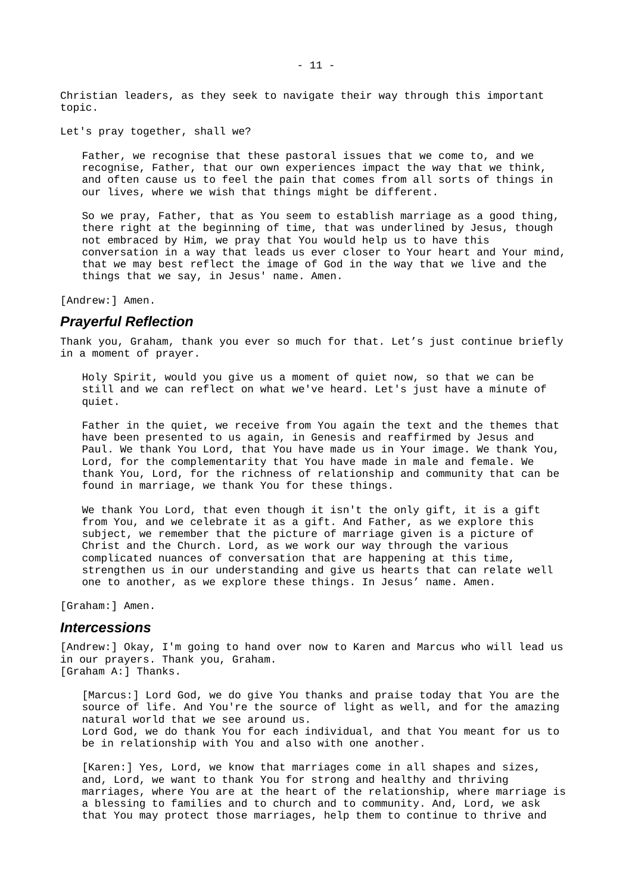Christian leaders, as they seek to navigate their way through this important topic.

Let's pray together, shall we?

Father, we recognise that these pastoral issues that we come to, and we recognise, Father, that our own experiences impact the way that we think, and often cause us to feel the pain that comes from all sorts of things in our lives, where we wish that things might be different.

So we pray, Father, that as You seem to establish marriage as a good thing, there right at the beginning of time, that was underlined by Jesus, though not embraced by Him, we pray that You would help us to have this conversation in a way that leads us ever closer to Your heart and Your mind, that we may best reflect the image of God in the way that we live and the things that we say, in Jesus' name. Amen.

[Andrew:] Amen.

#### <span id="page-10-1"></span>*Prayerful Reflection*

Thank you, Graham, thank you ever so much for that. Let's just continue briefly in a moment of prayer.

Holy Spirit, would you give us a moment of quiet now, so that we can be still and we can reflect on what we've heard. Let's just have a minute of quiet.

Father in the quiet, we receive from You again the text and the themes that have been presented to us again, in Genesis and reaffirmed by Jesus and Paul. We thank You Lord, that You have made us in Your image. We thank You, Lord, for the complementarity that You have made in male and female. We thank You, Lord, for the richness of relationship and community that can be found in marriage, we thank You for these things.

We thank You Lord, that even though it isn't the only gift, it is a gift from You, and we celebrate it as a gift. And Father, as we explore this subject, we remember that the picture of marriage given is a picture of Christ and the Church. Lord, as we work our way through the various complicated nuances of conversation that are happening at this time, strengthen us in our understanding and give us hearts that can relate well one to another, as we explore these things. In Jesus' name. Amen.

[Graham:] Amen.

#### <span id="page-10-0"></span>*Intercessions*

[Andrew:] Okay, I'm going to hand over now to Karen and Marcus who will lead us in our prayers. Thank you, Graham. [Graham A:] Thanks.

[Marcus:] Lord God, we do give You thanks and praise today that You are the source of life. And You're the source of light as well, and for the amazing natural world that we see around us. Lord God, we do thank You for each individual, and that You meant for us to be in relationship with You and also with one another.

[Karen:] Yes, Lord, we know that marriages come in all shapes and sizes, and, Lord, we want to thank You for strong and healthy and thriving marriages, where You are at the heart of the relationship, where marriage is a blessing to families and to church and to community. And, Lord, we ask that You may protect those marriages, help them to continue to thrive and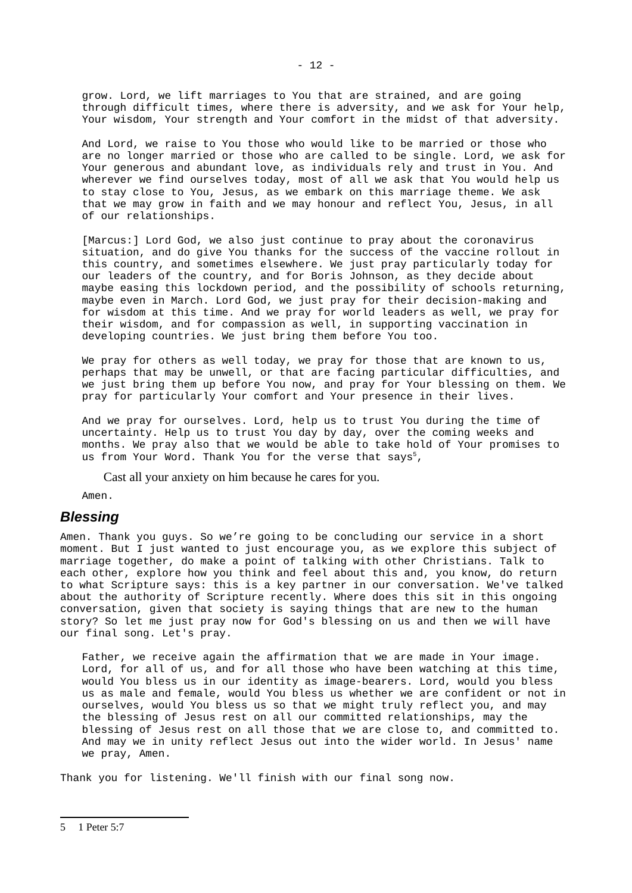grow. Lord, we lift marriages to You that are strained, and are going through difficult times, where there is adversity, and we ask for Your help, Your wisdom, Your strength and Your comfort in the midst of that adversity.

And Lord, we raise to You those who would like to be married or those who are no longer married or those who are called to be single. Lord, we ask for Your generous and abundant love, as individuals rely and trust in You. And wherever we find ourselves today, most of all we ask that You would help us to stay close to You, Jesus, as we embark on this marriage theme. We ask that we may grow in faith and we may honour and reflect You, Jesus, in all of our relationships.

[Marcus:] Lord God, we also just continue to pray about the coronavirus situation, and do give You thanks for the success of the vaccine rollout in this country, and sometimes elsewhere. We just pray particularly today for our leaders of the country, and for Boris Johnson, as they decide about maybe easing this lockdown period, and the possibility of schools returning, maybe even in March. Lord God, we just pray for their decision-making and for wisdom at this time. And we pray for world leaders as well, we pray for their wisdom, and for compassion as well, in supporting vaccination in developing countries. We just bring them before You too.

We pray for others as well today, we pray for those that are known to us, perhaps that may be unwell, or that are facing particular difficulties, and we just bring them up before You now, and pray for Your blessing on them. We pray for particularly Your comfort and Your presence in their lives.

And we pray for ourselves. Lord, help us to trust You during the time of uncertainty. Help us to trust You day by day, over the coming weeks and months. We pray also that we would be able to take hold of Your promises to us from Your Word. Thank You for the verse that says<sup>[5](#page-11-1)</sup>,

Cast all your anxiety on him because he cares for you.

Amen.

#### <span id="page-11-0"></span>*Blessing*

Amen. Thank you guys. So we're going to be concluding our service in a short moment. But I just wanted to just encourage you, as we explore this subject of marriage together, do make a point of talking with other Christians. Talk to each other, explore how you think and feel about this and, you know, do return to what Scripture says: this is a key partner in our conversation. We've talked about the authority of Scripture recently. Where does this sit in this ongoing conversation, given that society is saying things that are new to the human story? So let me just pray now for God's blessing on us and then we will have our final song. Let's pray.

Father, we receive again the affirmation that we are made in Your image. Lord, for all of us, and for all those who have been watching at this time, would You bless us in our identity as image-bearers. Lord, would you bless us as male and female, would You bless us whether we are confident or not in ourselves, would You bless us so that we might truly reflect you, and may the blessing of Jesus rest on all our committed relationships, may the blessing of Jesus rest on all those that we are close to, and committed to. And may we in unity reflect Jesus out into the wider world. In Jesus' name we pray, Amen.

<span id="page-11-1"></span>Thank you for listening. We'll finish with our final song now.